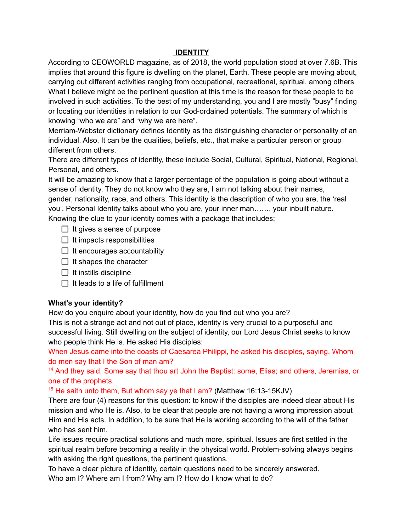### **IDENTITY**

According to CEOWORLD magazine, as of 2018, the world population stood at over 7.6B. This implies that around this figure is dwelling on the planet, Earth. These people are moving about, carrying out different activities ranging from occupational, recreational, spiritual, among others. What I believe might be the pertinent question at this time is the reason for these people to be involved in such activities. To the best of my understanding, you and I are mostly "busy" finding or locating our identities in relation to our God-ordained potentials. The summary of which is knowing "who we are" and "why we are here".

Merriam-Webster dictionary defines Identity as the distinguishing character or personality of an individual. Also, It can be the qualities, beliefs, etc., that make a particular person or group different from others.

There are different types of identity, these include Social, Cultural, Spiritual, National, Regional, Personal, and others.

It will be amazing to know that a larger percentage of the population is going about without a sense of identity. They do not know who they are, I am not talking about their names, gender, nationality, race, and others. This identity is the description of who you are, the 'real you'. Personal Identity talks about who you are, your inner man……. your inbuilt nature. Knowing the clue to your identity comes with a package that includes;

- $\Box$  It gives a sense of purpose
- $\Box$  It impacts responsibilities
- $\Box$  It encourages accountability
- $\Box$  It shapes the character
- $\Box$  It instills discipline
- $\Box$  It leads to a life of fulfillment

#### **What's your identity?**

How do you enquire about your identity, how do you find out who you are?

This is not a strange act and not out of place, identity is very crucial to a purposeful and successful living. Still dwelling on the subject of identity, our Lord Jesus Christ seeks to know who people think He is. He asked His disciples:

When Jesus came into the coasts of Caesarea Philippi, he asked his disciples, saying, Whom do men say that I the Son of man am?

<sup>14</sup> And they said, Some say that thou art John the Baptist: some, Elias; and others, Jeremias, or one of the prophets.

<sup>15</sup> He saith unto them, But whom say ye that I am? (Matthew 16:13-15KJV)

There are four (4) reasons for this question: to know if the disciples are indeed clear about His mission and who He is. Also, to be clear that people are not having a wrong impression about Him and His acts. In addition, to be sure that He is working according to the will of the father who has sent him.

Life issues require practical solutions and much more, spiritual. Issues are first settled in the spiritual realm before becoming a reality in the physical world. Problem-solving always begins with asking the right questions, the pertinent questions.

To have a clear picture of identity, certain questions need to be sincerely answered.

Who am I? Where am I from? Why am I? How do I know what to do?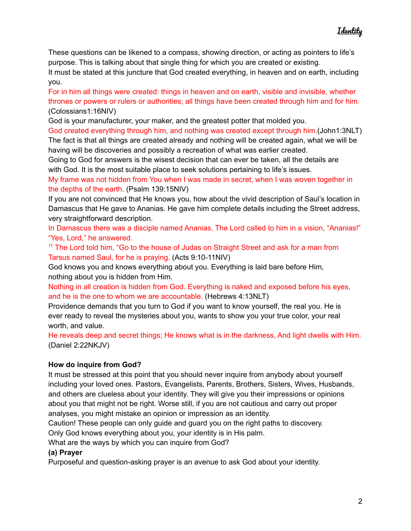These questions can be likened to a compass, showing direction, or acting as pointers to life's purpose. This is talking about that single thing for which you are created or existing.

It must be stated at this juncture that God created everything, in heaven and on earth, including you.

For in him all things were created: things in heaven and on earth, visible and invisible, whether thrones or powers or rulers or authorities; all things have been created through him and for him. (Colossians1:16NIV)

God is your manufacturer, your maker, and the greatest potter that molded you.

God created everything through him, and nothing was created except through him.(John1:3NLT) The fact is that all things are created already and nothing will be created again, what we will be having will be discoveries and possibly a recreation of what was earlier created.

Going to God for answers is the wisest decision that can ever be taken, all the details are with God. It is the most suitable place to seek solutions pertaining to life's issues.

My frame was not hidden from You when I was made in secret, when I was woven together in the depths of the earth. (Psalm 139:15NIV)

If you are not convinced that He knows you, how about the vivid description of Saul's location in Damascus that He gave to Ananias. He gave him complete details including the Street address, very straightforward description.

In Damascus there was a disciple named Ananias. The Lord called to him in a vision, "Ananias!" "Yes, Lord," he answered.

<sup>11</sup> The Lord told him, "Go to the house of Judas on Straight Street and ask for a man from Tarsus named Saul, for he is praying. (Acts 9:10-11NIV)

God knows you and knows everything about you. Everything is laid bare before Him, nothing about you is hidden from Him.

Nothing in all creation is hidden from God. Everything is naked and exposed before his eyes, and he is the one to whom we are accountable. (Hebrews 4:13NLT)

Providence demands that you turn to God if you want to know yourself, the real you. He is ever ready to reveal the mysteries about you, wants to show you your true color, your real worth, and value.

He reveals deep and secret things; He knows what is in the darkness, And light dwells with Him. (Daniel 2:22NKJV)

#### **How do inquire from God?**

It must be stressed at this point that you should never inquire from anybody about yourself including your loved ones. Pastors, Evangelists, Parents, Brothers, Sisters, Wives, Husbands, and others are clueless about your identity. They will give you their impressions or opinions about you that might not be right. Worse still, if you are not cautious and carry out proper analyses, you might mistake an opinion or impression as an identity.

Caution! These people can only guide and guard you on the right paths to discovery.

Only God knows everything about you, your identity is in His palm.

What are the ways by which you can inquire from God?

#### **(a) Prayer**

Purposeful and question-asking prayer is an avenue to ask God about your identity.